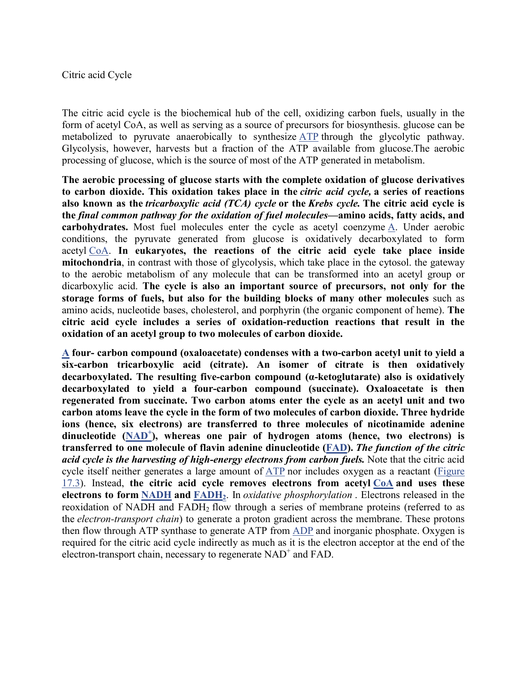## Citric acid Cycle

The citric acid cycle is the biochemical hub of the cell, oxidizing carbon fuels, usually in the form of acetyl CoA, as well as serving as a source of precursors for biosynthesis. glucose can be metabolized to pyruvate anaerobically to synthesize ATP through the glycolytic pathway. Glycolysis, however, harvests but a fraction of the ATP available from glucose.The aerobic processing of glucose, which is the source of most of the ATP generated in metabolism.

**The aerobic processing of glucose starts with the complete oxidation of glucose derivatives to carbon dioxide. This oxidation takes place in the** *citric acid cycle,* **a series of reactions also known as the** *tricarboxylic acid (TCA) cycle* **or the** *Krebs cycle.* **The citric acid cycle is the** *final common pathway for the oxidation of fuel molecules***—amino acids, fatty acids, and carbohydrates.** Most fuel molecules enter the cycle as acetyl coenzyme A. Under aerobic conditions, the pyruvate generated from glucose is oxidatively decarboxylated to form acetyl CoA. **In eukaryotes, the reactions of the citric acid cycle take place inside mitochondria**, in contrast with those of glycolysis, which take place in the cytosol. the gateway to the aerobic metabolism of any molecule that can be transformed into an acetyl group or dicarboxylic acid. **The cycle is also an important source of precursors, not only for the storage forms of fuels, but also for the building blocks of many other molecules** such as amino acids, nucleotide bases, cholesterol, and porphyrin (the organic component of heme). **The citric acid cycle includes a series of oxidation-reduction reactions that result in the oxidation of an acetyl group to two molecules of carbon dioxide.**

**A four- carbon compound (oxaloacetate) condenses with a two-carbon acetyl unit to yield a six-carbon tricarboxylic acid (citrate). An isomer of citrate is then oxidatively decarboxylated. The resulting five-carbon compound (α-ketoglutarate) also is oxidatively decarboxylated to yield a four-carbon compound (succinate). Oxaloacetate is then regenerated from succinate. Two carbon atoms enter the cycle as an acetyl unit and two carbon atoms leave the cycle in the form of two molecules of carbon dioxide. Three hydride ions (hence, six electrons) are transferred to three molecules of nicotinamide adenine**  dinucleotide (NAD<sup>+</sup>), whereas one pair of hydrogen atoms (hence, two electrons) is **transferred to one molecule of flavin adenine dinucleotide (FAD).** *The function of the citric acid cycle is the harvesting of high-energy electrons from carbon fuels.* Note that the citric acid cycle itself neither generates a large amount of ATP nor includes oxygen as a reactant (Figure 17.3). Instead, **the citric acid cycle removes electrons from acetyl CoA and uses these electrons to form NADH and FADH2**. In *oxidative phosphorylation* . Electrons released in the reoxidation of NADH and FADH<sub>2</sub> flow through a series of membrane proteins (referred to as the *electron-transport chain*) to generate a proton gradient across the membrane. These protons then flow through ATP synthase to generate ATP from ADP and inorganic phosphate. Oxygen is required for the citric acid cycle indirectly as much as it is the electron acceptor at the end of the electron-transport chain, necessary to regenerate  $NAD^+$  and  $FAD$ .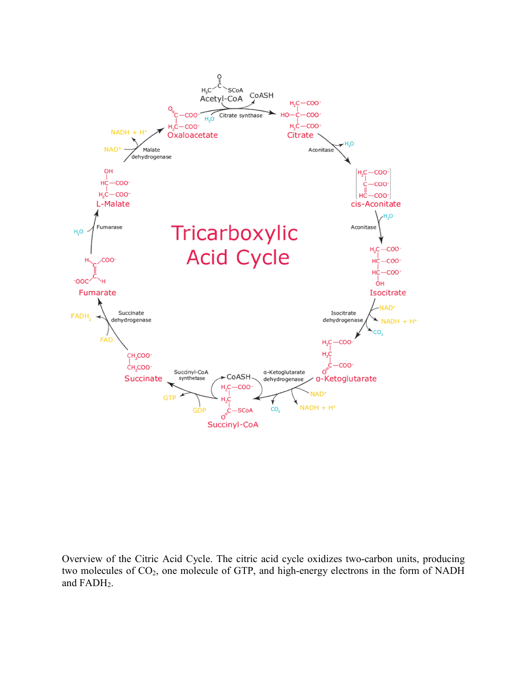

Overview of the Citric Acid Cycle. The citric acid cycle oxidizes two-carbon units, producing two molecules of  $CO_2$ , one molecule of GTP, and high-energy electrons in the form of NADH and FADH<sub>2</sub>.